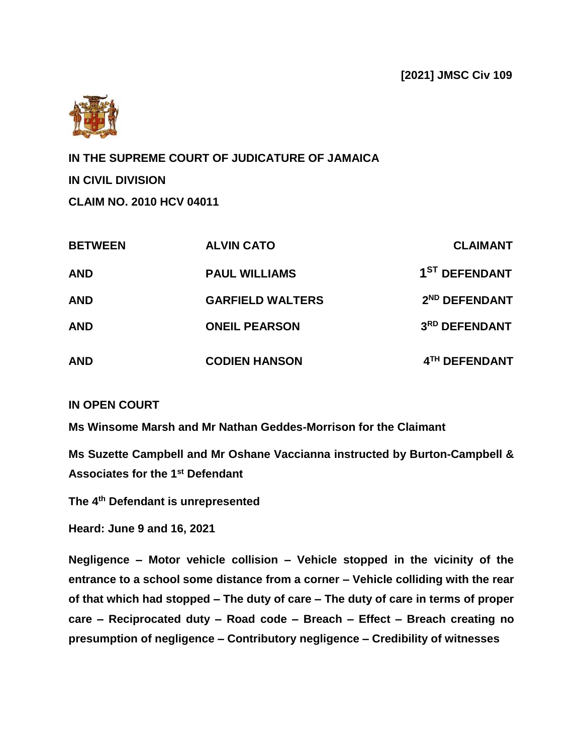

**IN THE SUPREME COURT OF JUDICATURE OF JAMAICA IN CIVIL DIVISION CLAIM NO. 2010 HCV 04011**

| <b>BETWEEN</b> | <b>ALVIN CATO</b>       | <b>CLAIMANT</b>           |
|----------------|-------------------------|---------------------------|
| <b>AND</b>     | <b>PAUL WILLIAMS</b>    | 1 <sup>ST</sup> DEFENDANT |
| <b>AND</b>     | <b>GARFIELD WALTERS</b> | 2 <sup>ND</sup> DEFENDANT |
| <b>AND</b>     | <b>ONEIL PEARSON</b>    | 3RD DEFENDANT             |
| <b>AND</b>     | <b>CODIEN HANSON</b>    | 4TH DEFENDANT             |

#### **IN OPEN COURT**

**Ms Winsome Marsh and Mr Nathan Geddes-Morrison for the Claimant** 

**Ms Suzette Campbell and Mr Oshane Vaccianna instructed by Burton-Campbell & Associates for the 1st Defendant**

**The 4 th Defendant is unrepresented**

**Heard: June 9 and 16, 2021**

**Negligence – Motor vehicle collision – Vehicle stopped in the vicinity of the entrance to a school some distance from a corner – Vehicle colliding with the rear of that which had stopped – The duty of care – The duty of care in terms of proper care – Reciprocated duty – Road code – Breach – Effect – Breach creating no presumption of negligence – Contributory negligence – Credibility of witnesses**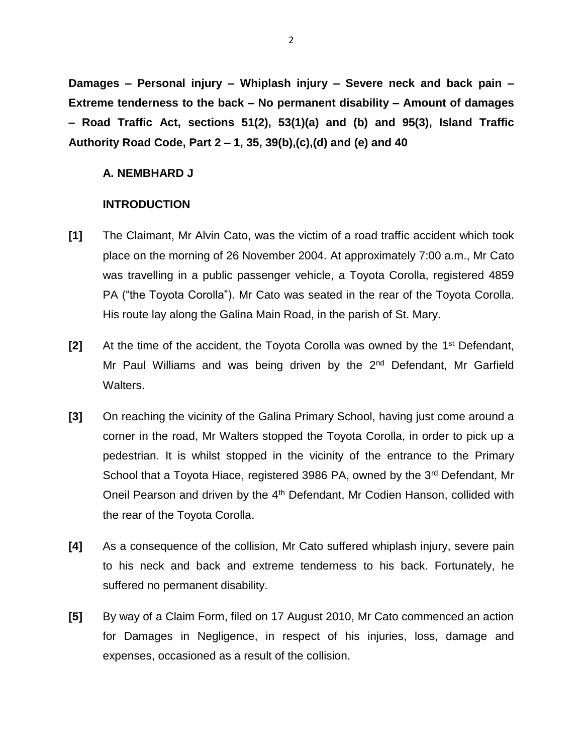**Damages – Personal injury – Whiplash injury – Severe neck and back pain – Extreme tenderness to the back – No permanent disability – Amount of damages – Road Traffic Act, sections 51(2), 53(1)(a) and (b) and 95(3), Island Traffic Authority Road Code, Part 2 – 1, 35, 39(b),(c),(d) and (e) and 40**

#### **A. NEMBHARD J**

#### **INTRODUCTION**

- **[1]** The Claimant, Mr Alvin Cato, was the victim of a road traffic accident which took place on the morning of 26 November 2004. At approximately 7:00 a.m., Mr Cato was travelling in a public passenger vehicle, a Toyota Corolla, registered 4859 PA ("the Toyota Corolla"). Mr Cato was seated in the rear of the Toyota Corolla. His route lay along the Galina Main Road, in the parish of St. Mary.
- [2] At the time of the accident, the Toyota Corolla was owned by the 1<sup>st</sup> Defendant, Mr Paul Williams and was being driven by the  $2<sup>nd</sup>$  Defendant, Mr Garfield Walters.
- **[3]** On reaching the vicinity of the Galina Primary School, having just come around a corner in the road, Mr Walters stopped the Toyota Corolla, in order to pick up a pedestrian. It is whilst stopped in the vicinity of the entrance to the Primary School that a Toyota Hiace, registered 3986 PA, owned by the 3<sup>rd</sup> Defendant, Mr Oneil Pearson and driven by the 4<sup>th</sup> Defendant, Mr Codien Hanson, collided with the rear of the Toyota Corolla.
- **[4]** As a consequence of the collision, Mr Cato suffered whiplash injury, severe pain to his neck and back and extreme tenderness to his back. Fortunately, he suffered no permanent disability.
- **[5]** By way of a Claim Form, filed on 17 August 2010, Mr Cato commenced an action for Damages in Negligence, in respect of his injuries, loss, damage and expenses, occasioned as a result of the collision.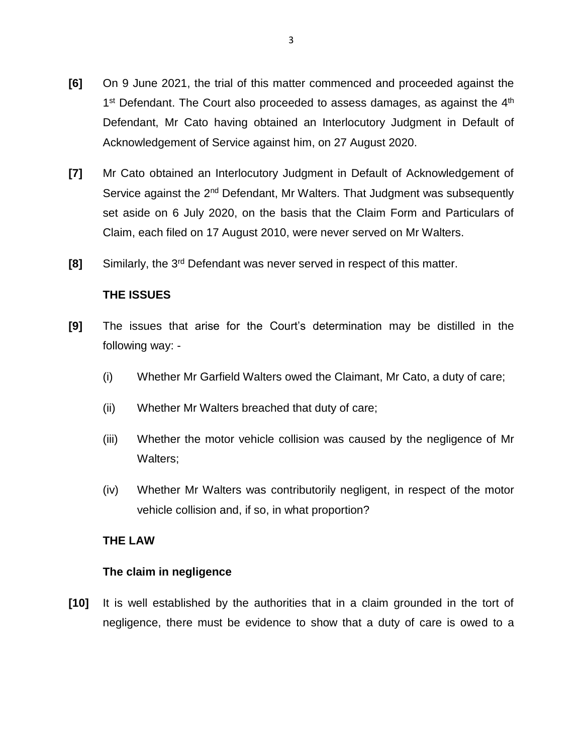- **[6]** On 9 June 2021, the trial of this matter commenced and proceeded against the 1<sup>st</sup> Defendant. The Court also proceeded to assess damages, as against the 4<sup>th</sup> Defendant, Mr Cato having obtained an Interlocutory Judgment in Default of Acknowledgement of Service against him, on 27 August 2020.
- **[7]** Mr Cato obtained an Interlocutory Judgment in Default of Acknowledgement of Service against the 2<sup>nd</sup> Defendant, Mr Walters. That Judgment was subsequently set aside on 6 July 2020, on the basis that the Claim Form and Particulars of Claim, each filed on 17 August 2010, were never served on Mr Walters.
- **[8]** Similarly, the 3rd Defendant was never served in respect of this matter.

# **THE ISSUES**

- **[9]** The issues that arise for the Court's determination may be distilled in the following way: -
	- (i) Whether Mr Garfield Walters owed the Claimant, Mr Cato, a duty of care;
	- (ii) Whether Mr Walters breached that duty of care;
	- (iii) Whether the motor vehicle collision was caused by the negligence of Mr Walters;
	- (iv) Whether Mr Walters was contributorily negligent, in respect of the motor vehicle collision and, if so, in what proportion?

# **THE LAW**

# **The claim in negligence**

**[10]** It is well established by the authorities that in a claim grounded in the tort of negligence, there must be evidence to show that a duty of care is owed to a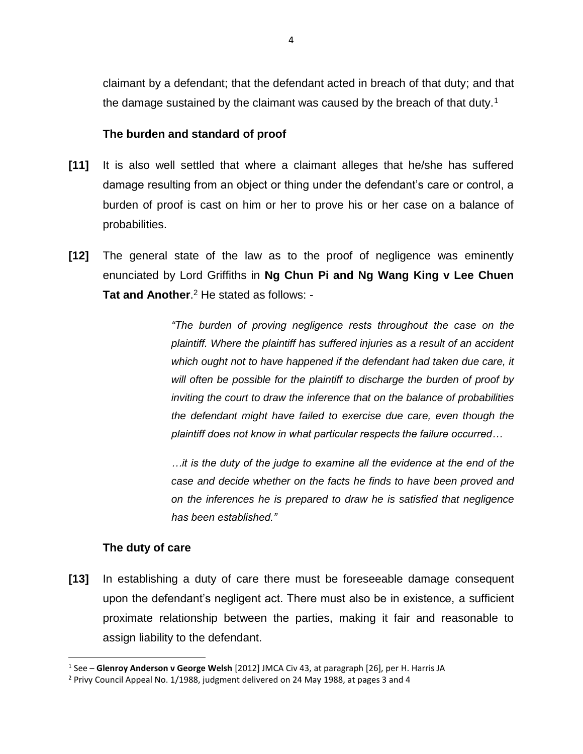claimant by a defendant; that the defendant acted in breach of that duty; and that the damage sustained by the claimant was caused by the breach of that duty.<sup>1</sup>

## **The burden and standard of proof**

- **[11]** It is also well settled that where a claimant alleges that he/she has suffered damage resulting from an object or thing under the defendant's care or control, a burden of proof is cast on him or her to prove his or her case on a balance of probabilities.
- **[12]** The general state of the law as to the proof of negligence was eminently enunciated by Lord Griffiths in **Ng Chun Pi and Ng Wang King v Lee Chuen**  Tat and Another.<sup>2</sup> He stated as follows: -

*"The burden of proving negligence rests throughout the case on the plaintiff. Where the plaintiff has suffered injuries as a result of an accident which ought not to have happened if the defendant had taken due care, it will often be possible for the plaintiff to discharge the burden of proof by inviting the court to draw the inference that on the balance of probabilities the defendant might have failed to exercise due care, even though the plaintiff does not know in what particular respects the failure occurred…*

*…it is the duty of the judge to examine all the evidence at the end of the case and decide whether on the facts he finds to have been proved and on the inferences he is prepared to draw he is satisfied that negligence has been established."*

#### **The duty of care**

l

**[13]** In establishing a duty of care there must be foreseeable damage consequent upon the defendant's negligent act. There must also be in existence, a sufficient proximate relationship between the parties, making it fair and reasonable to assign liability to the defendant.

<sup>1</sup> See – **Glenroy Anderson v George Welsh** [2012] JMCA Civ 43, at paragraph [26], per H. Harris JA

<sup>2</sup> Privy Council Appeal No. 1/1988, judgment delivered on 24 May 1988, at pages 3 and 4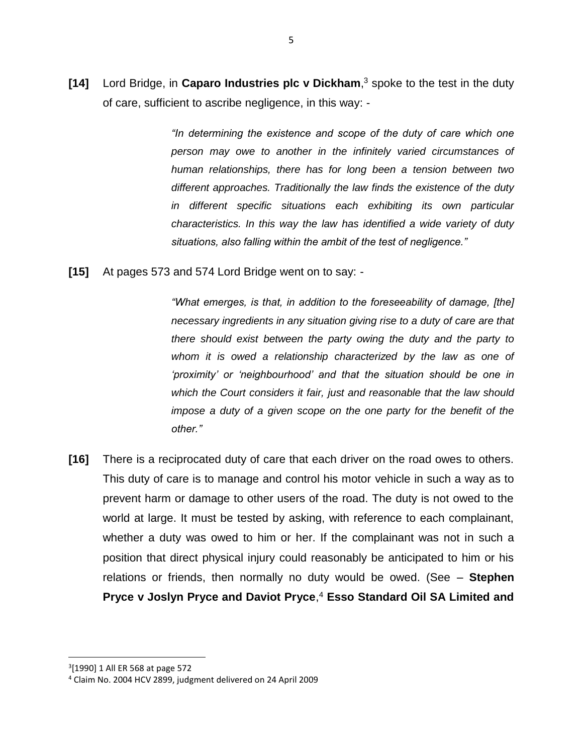**[14]** Lord Bridge, in **Caparo Industries plc v Dickham**, <sup>3</sup> spoke to the test in the duty of care, sufficient to ascribe negligence, in this way: -

> *"In determining the existence and scope of the duty of care which one person may owe to another in the infinitely varied circumstances of human relationships, there has for long been a tension between two different approaches. Traditionally the law finds the existence of the duty in different specific situations each exhibiting its own particular characteristics. In this way the law has identified a wide variety of duty situations, also falling within the ambit of the test of negligence."*

**[15]** At pages 573 and 574 Lord Bridge went on to say: -

*"What emerges, is that, in addition to the foreseeability of damage, [the] necessary ingredients in any situation giving rise to a duty of care are that there should exist between the party owing the duty and the party to whom it is owed a relationship characterized by the law as one of 'proximity' or 'neighbourhood' and that the situation should be one in which the Court considers it fair, just and reasonable that the law should impose a duty of a given scope on the one party for the benefit of the other."*

**[16]** There is a reciprocated duty of care that each driver on the road owes to others. This duty of care is to manage and control his motor vehicle in such a way as to prevent harm or damage to other users of the road. The duty is not owed to the world at large. It must be tested by asking, with reference to each complainant, whether a duty was owed to him or her. If the complainant was not in such a position that direct physical injury could reasonably be anticipated to him or his relations or friends, then normally no duty would be owed. (See – **Stephen Pryce v Joslyn Pryce and Daviot Pryce**, <sup>4</sup> **Esso Standard Oil SA Limited and** 

<sup>3</sup> [1990] 1 All ER 568 at page 572

<sup>4</sup> Claim No. 2004 HCV 2899, judgment delivered on 24 April 2009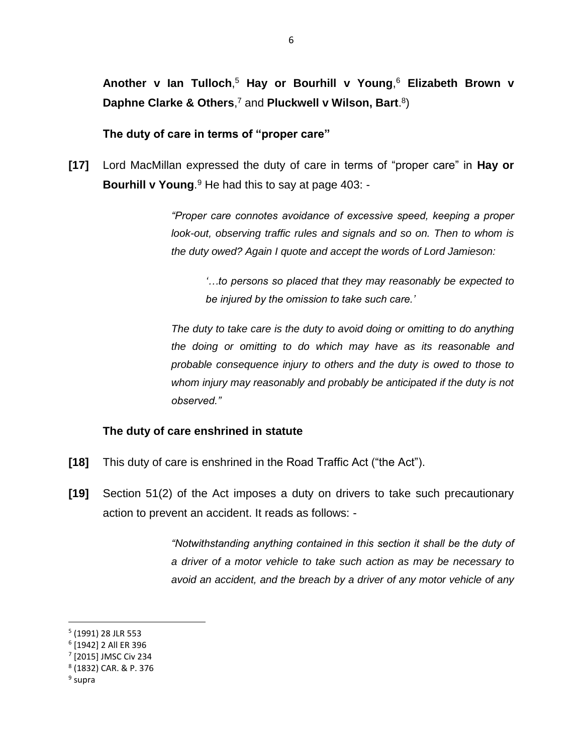**Another v Ian Tulloch**, <sup>5</sup> **Hay or Bourhill v Young**, <sup>6</sup> **Elizabeth Brown v Daphne Clarke & Others**, <sup>7</sup> and **Pluckwell v Wilson, Bart**. 8 )

**The duty of care in terms of "proper care"**

**[17]** Lord MacMillan expressed the duty of care in terms of "proper care" in **Hay or Bourhill v Young**. <sup>9</sup> He had this to say at page 403: -

> *"Proper care connotes avoidance of excessive speed, keeping a proper look-out, observing traffic rules and signals and so on. Then to whom is the duty owed? Again I quote and accept the words of Lord Jamieson:*

*'…to persons so placed that they may reasonably be expected to be injured by the omission to take such care.'*

*The duty to take care is the duty to avoid doing or omitting to do anything the doing or omitting to do which may have as its reasonable and probable consequence injury to others and the duty is owed to those to whom injury may reasonably and probably be anticipated if the duty is not observed."* 

#### **The duty of care enshrined in statute**

- **[18]** This duty of care is enshrined in the Road Traffic Act ("the Act").
- **[19]** Section 51(2) of the Act imposes a duty on drivers to take such precautionary action to prevent an accident. It reads as follows: -

*"Notwithstanding anything contained in this section it shall be the duty of a driver of a motor vehicle to take such action as may be necessary to avoid an accident, and the breach by a driver of any motor vehicle of any* 

<sup>5</sup> (1991) 28 JLR 553

<sup>6</sup> [1942] 2 All ER 396

<sup>7</sup> [2015] JMSC Civ 234

<sup>8</sup> (1832) CAR. & P. 376

<sup>&</sup>lt;sup>9</sup> supra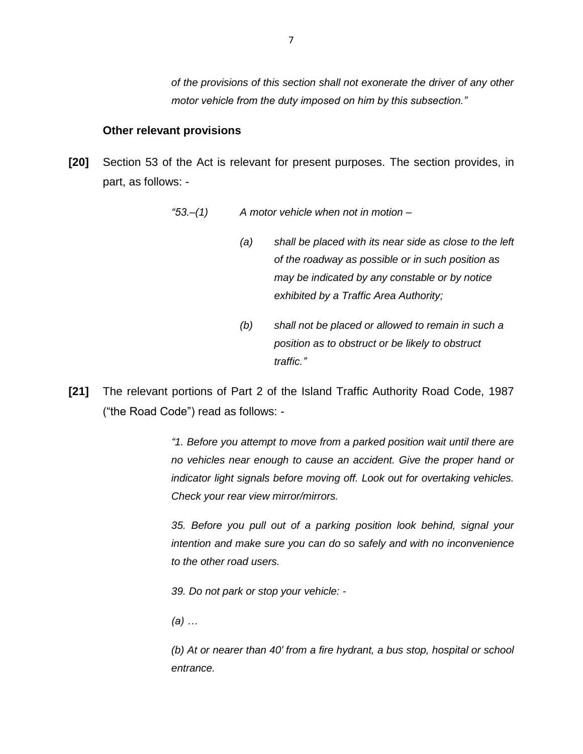*of the provisions of this section shall not exonerate the driver of any other motor vehicle from the duty imposed on him by this subsection."*

#### **Other relevant provisions**

**[20]** Section 53 of the Act is relevant for present purposes. The section provides, in part, as follows: -

*"53.–(1) A motor vehicle when not in motion –*

- *(a) shall be placed with its near side as close to the left of the roadway as possible or in such position as may be indicated by any constable or by notice exhibited by a Traffic Area Authority;*
- *(b) shall not be placed or allowed to remain in such a position as to obstruct or be likely to obstruct traffic."*
- **[21]** The relevant portions of Part 2 of the Island Traffic Authority Road Code, 1987 ("the Road Code") read as follows: -

*"1. Before you attempt to move from a parked position wait until there are no vehicles near enough to cause an accident. Give the proper hand or indicator light signals before moving off. Look out for overtaking vehicles. Check your rear view mirror/mirrors.*

*35. Before you pull out of a parking position look behind, signal your intention and make sure you can do so safely and with no inconvenience to the other road users.*

*39. Do not park or stop your vehicle: -*

*(a) …*

*(b) At or nearer than 40' from a fire hydrant, a bus stop, hospital or school entrance.*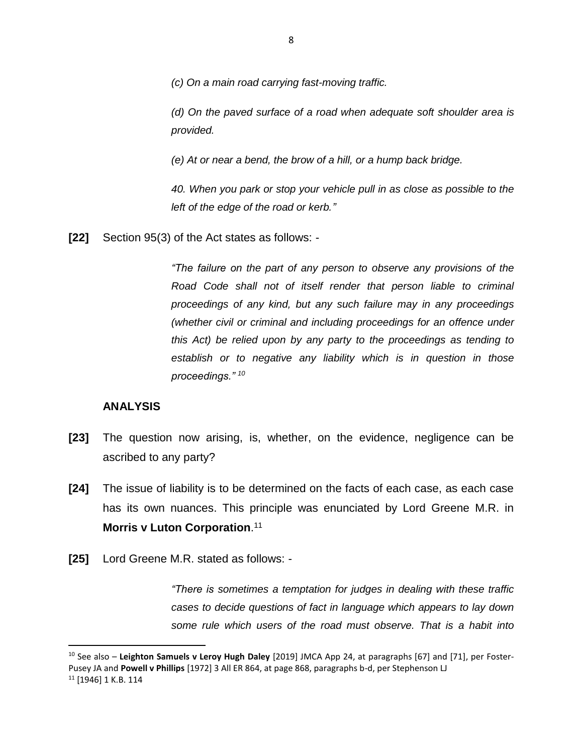*(c) On a main road carrying fast-moving traffic.*

*(d) On the paved surface of a road when adequate soft shoulder area is provided.*

*(e) At or near a bend, the brow of a hill, or a hump back bridge.*

*40. When you park or stop your vehicle pull in as close as possible to the left of the edge of the road or kerb."*

**[22]** Section 95(3) of the Act states as follows: -

*"The failure on the part of any person to observe any provisions of the Road Code shall not of itself render that person liable to criminal proceedings of any kind, but any such failure may in any proceedings (whether civil or criminal and including proceedings for an offence under this Act) be relied upon by any party to the proceedings as tending to establish or to negative any liability which is in question in those proceedings." <sup>10</sup>*

#### **ANALYSIS**

 $\overline{\phantom{a}}$ 

- **[23]** The question now arising, is, whether, on the evidence, negligence can be ascribed to any party?
- **[24]** The issue of liability is to be determined on the facts of each case, as each case has its own nuances. This principle was enunciated by Lord Greene M.R. in **Morris v Luton Corporation**. 11
- **[25]** Lord Greene M.R. stated as follows: -

*"There is sometimes a temptation for judges in dealing with these traffic cases to decide questions of fact in language which appears to lay down some rule which users of the road must observe. That is a habit into* 

<sup>10</sup> See also – **Leighton Samuels v Leroy Hugh Daley** [2019] JMCA App 24, at paragraphs [67] and [71], per Foster-Pusey JA and **Powell v Phillips** [1972] 3 All ER 864, at page 868, paragraphs b-d, per Stephenson LJ <sup>11</sup> [1946] 1 K.B. 114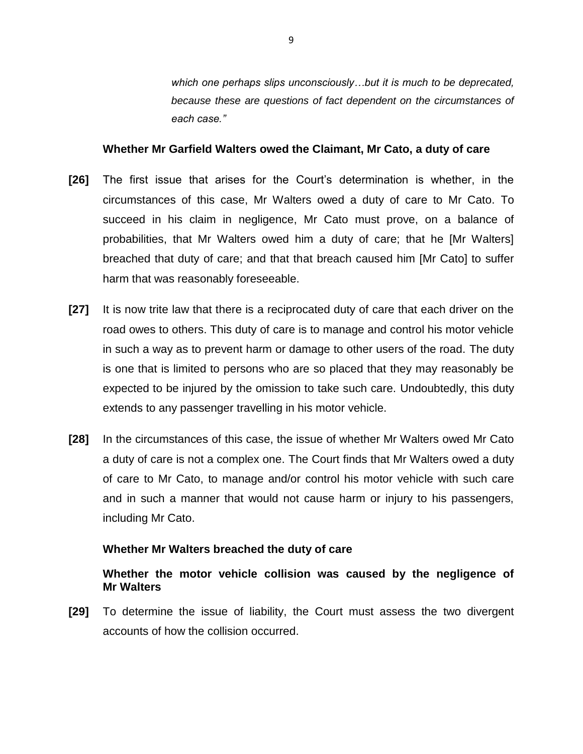*which one perhaps slips unconsciously…but it is much to be deprecated, because these are questions of fact dependent on the circumstances of each case."*

#### **Whether Mr Garfield Walters owed the Claimant, Mr Cato, a duty of care**

- **[26]** The first issue that arises for the Court's determination is whether, in the circumstances of this case, Mr Walters owed a duty of care to Mr Cato. To succeed in his claim in negligence, Mr Cato must prove, on a balance of probabilities, that Mr Walters owed him a duty of care; that he [Mr Walters] breached that duty of care; and that that breach caused him [Mr Cato] to suffer harm that was reasonably foreseeable.
- **[27]** It is now trite law that there is a reciprocated duty of care that each driver on the road owes to others. This duty of care is to manage and control his motor vehicle in such a way as to prevent harm or damage to other users of the road. The duty is one that is limited to persons who are so placed that they may reasonably be expected to be injured by the omission to take such care. Undoubtedly, this duty extends to any passenger travelling in his motor vehicle.
- **[28]** In the circumstances of this case, the issue of whether Mr Walters owed Mr Cato a duty of care is not a complex one. The Court finds that Mr Walters owed a duty of care to Mr Cato, to manage and/or control his motor vehicle with such care and in such a manner that would not cause harm or injury to his passengers, including Mr Cato.

#### **Whether Mr Walters breached the duty of care**

## **Whether the motor vehicle collision was caused by the negligence of Mr Walters**

**[29]** To determine the issue of liability, the Court must assess the two divergent accounts of how the collision occurred.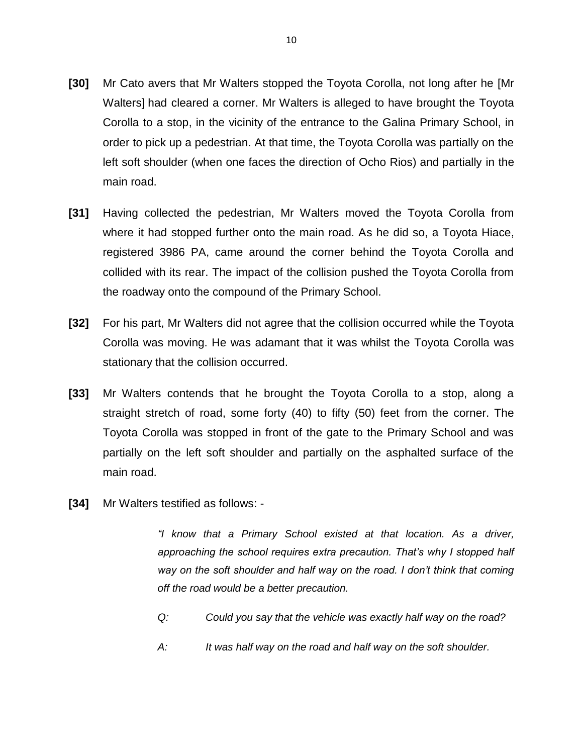- **[30]** Mr Cato avers that Mr Walters stopped the Toyota Corolla, not long after he [Mr Walters] had cleared a corner. Mr Walters is alleged to have brought the Toyota Corolla to a stop, in the vicinity of the entrance to the Galina Primary School, in order to pick up a pedestrian. At that time, the Toyota Corolla was partially on the left soft shoulder (when one faces the direction of Ocho Rios) and partially in the main road.
- **[31]** Having collected the pedestrian, Mr Walters moved the Toyota Corolla from where it had stopped further onto the main road. As he did so, a Toyota Hiace, registered 3986 PA, came around the corner behind the Toyota Corolla and collided with its rear. The impact of the collision pushed the Toyota Corolla from the roadway onto the compound of the Primary School.
- **[32]** For his part, Mr Walters did not agree that the collision occurred while the Toyota Corolla was moving. He was adamant that it was whilst the Toyota Corolla was stationary that the collision occurred.
- **[33]** Mr Walters contends that he brought the Toyota Corolla to a stop, along a straight stretch of road, some forty (40) to fifty (50) feet from the corner. The Toyota Corolla was stopped in front of the gate to the Primary School and was partially on the left soft shoulder and partially on the asphalted surface of the main road.
- **[34]** Mr Walters testified as follows: -

*"I know that a Primary School existed at that location. As a driver, approaching the school requires extra precaution. That's why I stopped half way on the soft shoulder and half way on the road. I don't think that coming off the road would be a better precaution.* 

- *Q: Could you say that the vehicle was exactly half way on the road?*
- *A: It was half way on the road and half way on the soft shoulder.*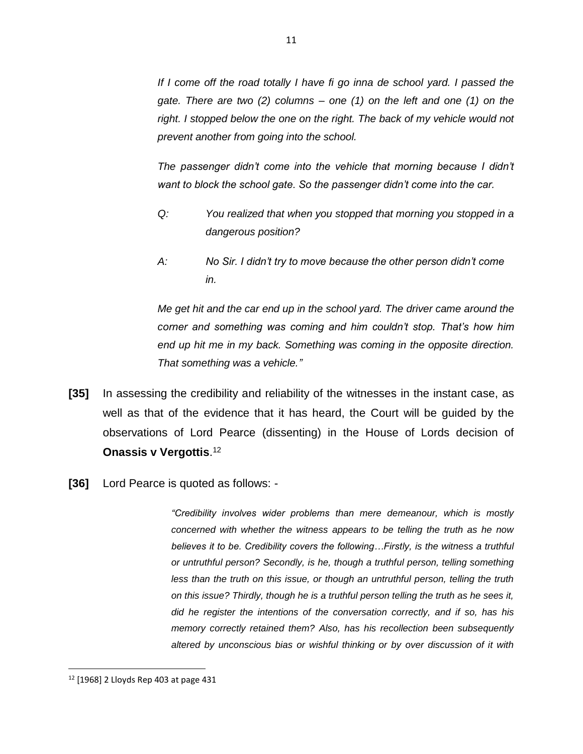*If I come off the road totally I have fi go inna de school yard. I passed the gate. There are two (2) columns – one (1) on the left and one (1) on the right. I stopped below the one on the right. The back of my vehicle would not prevent another from going into the school.* 

*The passenger didn't come into the vehicle that morning because I didn't want to block the school gate. So the passenger didn't come into the car.*

- *Q: You realized that when you stopped that morning you stopped in a dangerous position?*
- *A: No Sir. I didn't try to move because the other person didn't come in.*

*Me get hit and the car end up in the school yard. The driver came around the corner and something was coming and him couldn't stop. That's how him end up hit me in my back. Something was coming in the opposite direction. That something was a vehicle."*

- **[35]** In assessing the credibility and reliability of the witnesses in the instant case, as well as that of the evidence that it has heard, the Court will be guided by the observations of Lord Pearce (dissenting) in the House of Lords decision of **Onassis v Vergottis**. 12
- **[36]** Lord Pearce is quoted as follows: -

*"Credibility involves wider problems than mere demeanour, which is mostly concerned with whether the witness appears to be telling the truth as he now believes it to be. Credibility covers the following…Firstly, is the witness a truthful or untruthful person? Secondly, is he, though a truthful person, telling something*  less than the truth on this issue, or though an untruthful person, telling the truth *on this issue? Thirdly, though he is a truthful person telling the truth as he sees it, did he register the intentions of the conversation correctly, and if so, has his memory correctly retained them? Also, has his recollection been subsequently altered by unconscious bias or wishful thinking or by over discussion of it with* 

<sup>12</sup> [1968] 2 Lloyds Rep 403 at page 431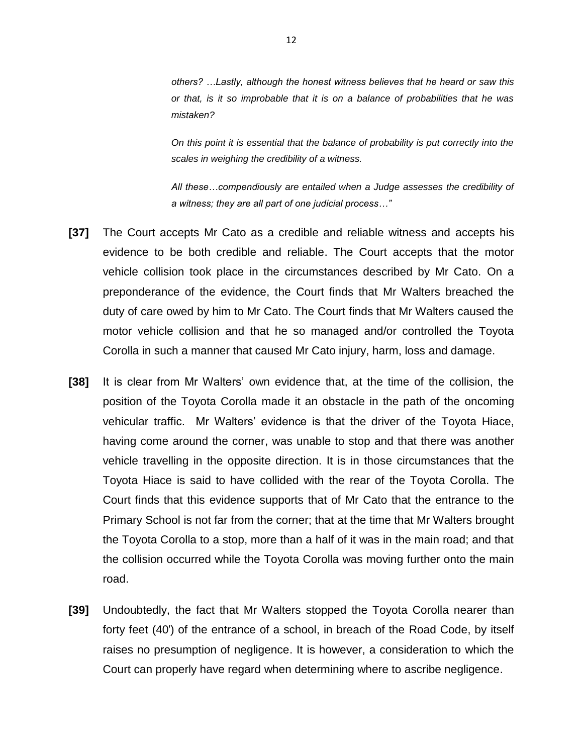*others? …Lastly, although the honest witness believes that he heard or saw this or that, is it so improbable that it is on a balance of probabilities that he was mistaken?* 

*On this point it is essential that the balance of probability is put correctly into the scales in weighing the credibility of a witness.*

*All these…compendiously are entailed when a Judge assesses the credibility of a witness; they are all part of one judicial process…"*

- **[37]** The Court accepts Mr Cato as a credible and reliable witness and accepts his evidence to be both credible and reliable. The Court accepts that the motor vehicle collision took place in the circumstances described by Mr Cato. On a preponderance of the evidence, the Court finds that Mr Walters breached the duty of care owed by him to Mr Cato. The Court finds that Mr Walters caused the motor vehicle collision and that he so managed and/or controlled the Toyota Corolla in such a manner that caused Mr Cato injury, harm, loss and damage.
- **[38]** It is clear from Mr Walters' own evidence that, at the time of the collision, the position of the Toyota Corolla made it an obstacle in the path of the oncoming vehicular traffic. Mr Walters' evidence is that the driver of the Toyota Hiace, having come around the corner, was unable to stop and that there was another vehicle travelling in the opposite direction. It is in those circumstances that the Toyota Hiace is said to have collided with the rear of the Toyota Corolla. The Court finds that this evidence supports that of Mr Cato that the entrance to the Primary School is not far from the corner; that at the time that Mr Walters brought the Toyota Corolla to a stop, more than a half of it was in the main road; and that the collision occurred while the Toyota Corolla was moving further onto the main road.
- **[39]** Undoubtedly, the fact that Mr Walters stopped the Toyota Corolla nearer than forty feet (40') of the entrance of a school, in breach of the Road Code, by itself raises no presumption of negligence. It is however, a consideration to which the Court can properly have regard when determining where to ascribe negligence.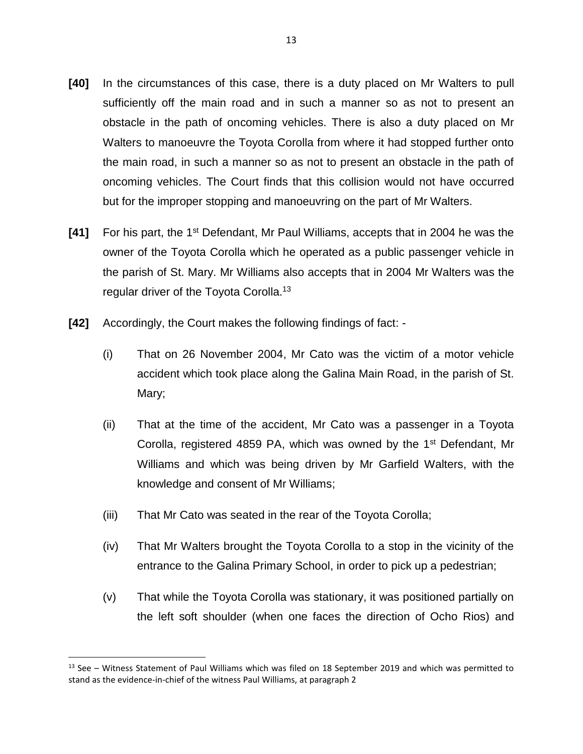- **[40]** In the circumstances of this case, there is a duty placed on Mr Walters to pull sufficiently off the main road and in such a manner so as not to present an obstacle in the path of oncoming vehicles. There is also a duty placed on Mr Walters to manoeuvre the Toyota Corolla from where it had stopped further onto the main road, in such a manner so as not to present an obstacle in the path of oncoming vehicles. The Court finds that this collision would not have occurred but for the improper stopping and manoeuvring on the part of Mr Walters.
- **[41]** For his part, the 1<sup>st</sup> Defendant, Mr Paul Williams, accepts that in 2004 he was the owner of the Toyota Corolla which he operated as a public passenger vehicle in the parish of St. Mary. Mr Williams also accepts that in 2004 Mr Walters was the regular driver of the Toyota Corolla.<sup>13</sup>
- **[42]** Accordingly, the Court makes the following findings of fact:
	- (i) That on 26 November 2004, Mr Cato was the victim of a motor vehicle accident which took place along the Galina Main Road, in the parish of St. Mary;
	- (ii) That at the time of the accident, Mr Cato was a passenger in a Toyota Corolla, registered 4859 PA, which was owned by the 1<sup>st</sup> Defendant, Mr Williams and which was being driven by Mr Garfield Walters, with the knowledge and consent of Mr Williams;
	- (iii) That Mr Cato was seated in the rear of the Toyota Corolla;
	- (iv) That Mr Walters brought the Toyota Corolla to a stop in the vicinity of the entrance to the Galina Primary School, in order to pick up a pedestrian;
	- (v) That while the Toyota Corolla was stationary, it was positioned partially on the left soft shoulder (when one faces the direction of Ocho Rios) and

<sup>&</sup>lt;sup>13</sup> See – Witness Statement of Paul Williams which was filed on 18 September 2019 and which was permitted to stand as the evidence-in-chief of the witness Paul Williams, at paragraph 2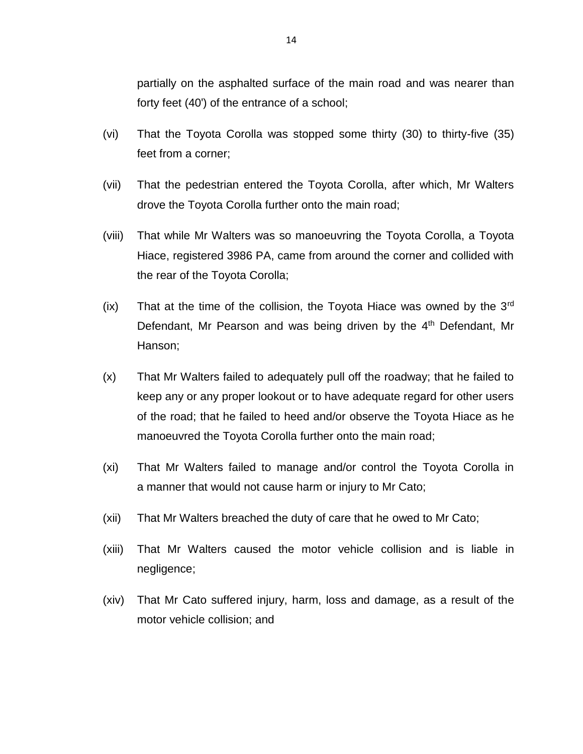partially on the asphalted surface of the main road and was nearer than forty feet (40') of the entrance of a school;

- (vi) That the Toyota Corolla was stopped some thirty (30) to thirty-five (35) feet from a corner;
- (vii) That the pedestrian entered the Toyota Corolla, after which, Mr Walters drove the Toyota Corolla further onto the main road;
- (viii) That while Mr Walters was so manoeuvring the Toyota Corolla, a Toyota Hiace, registered 3986 PA, came from around the corner and collided with the rear of the Toyota Corolla;
- $(ix)$  That at the time of the collision, the Toyota Hiace was owned by the 3<sup>rd</sup> Defendant, Mr Pearson and was being driven by the 4<sup>th</sup> Defendant, Mr Hanson;
- (x) That Mr Walters failed to adequately pull off the roadway; that he failed to keep any or any proper lookout or to have adequate regard for other users of the road; that he failed to heed and/or observe the Toyota Hiace as he manoeuvred the Toyota Corolla further onto the main road;
- (xi) That Mr Walters failed to manage and/or control the Toyota Corolla in a manner that would not cause harm or injury to Mr Cato;
- (xii) That Mr Walters breached the duty of care that he owed to Mr Cato;
- (xiii) That Mr Walters caused the motor vehicle collision and is liable in negligence;
- (xiv) That Mr Cato suffered injury, harm, loss and damage, as a result of the motor vehicle collision; and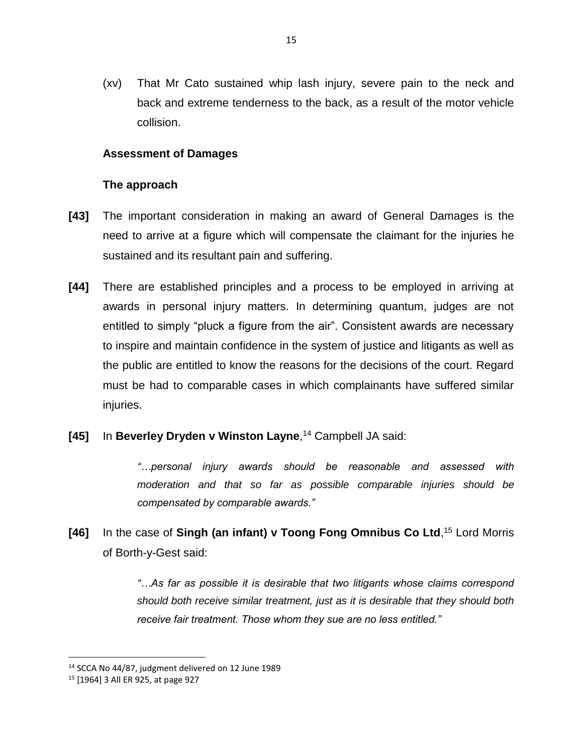(xv) That Mr Cato sustained whip lash injury, severe pain to the neck and back and extreme tenderness to the back, as a result of the motor vehicle collision.

## **Assessment of Damages**

#### **The approach**

- **[43]** The important consideration in making an award of General Damages is the need to arrive at a figure which will compensate the claimant for the injuries he sustained and its resultant pain and suffering.
- **[44]** There are established principles and a process to be employed in arriving at awards in personal injury matters. In determining quantum, judges are not entitled to simply "pluck a figure from the air". Consistent awards are necessary to inspire and maintain confidence in the system of justice and litigants as well as the public are entitled to know the reasons for the decisions of the court. Regard must be had to comparable cases in which complainants have suffered similar injuries.
- **[45]** In **Beverley Dryden v Winston Layne**, <sup>14</sup> Campbell JA said:

*"…personal injury awards should be reasonable and assessed with moderation and that so far as possible comparable injuries should be compensated by comparable awards."*

**[46]** In the case of **Singh (an infant) v Toong Fong Omnibus Co Ltd**, <sup>15</sup> Lord Morris of Borth-y-Gest said:

> *"…As far as possible it is desirable that two litigants whose claims correspond should both receive similar treatment, just as it is desirable that they should both receive fair treatment. Those whom they sue are no less entitled."*

<sup>14</sup> SCCA No 44/87, judgment delivered on 12 June 1989

<sup>15</sup> [1964] 3 All ER 925, at page 927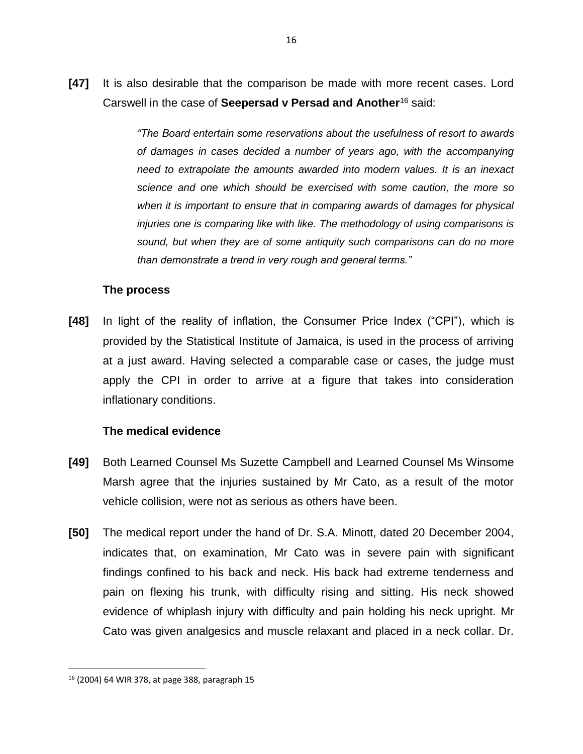**[47]** It is also desirable that the comparison be made with more recent cases. Lord Carswell in the case of **Seepersad v Persad and Another**<sup>16</sup> said:

> *"The Board entertain some reservations about the usefulness of resort to awards of damages in cases decided a number of years ago, with the accompanying need to extrapolate the amounts awarded into modern values. It is an inexact science and one which should be exercised with some caution, the more so*  when it is important to ensure that in comparing awards of damages for physical *injuries one is comparing like with like. The methodology of using comparisons is sound, but when they are of some antiquity such comparisons can do no more than demonstrate a trend in very rough and general terms."*

#### **The process**

**[48]** In light of the reality of inflation, the Consumer Price Index ("CPI"), which is provided by the Statistical Institute of Jamaica, is used in the process of arriving at a just award. Having selected a comparable case or cases, the judge must apply the CPI in order to arrive at a figure that takes into consideration inflationary conditions.

# **The medical evidence**

- **[49]** Both Learned Counsel Ms Suzette Campbell and Learned Counsel Ms Winsome Marsh agree that the injuries sustained by Mr Cato, as a result of the motor vehicle collision, were not as serious as others have been.
- **[50]** The medical report under the hand of Dr. S.A. Minott, dated 20 December 2004, indicates that, on examination, Mr Cato was in severe pain with significant findings confined to his back and neck. His back had extreme tenderness and pain on flexing his trunk, with difficulty rising and sitting. His neck showed evidence of whiplash injury with difficulty and pain holding his neck upright. Mr Cato was given analgesics and muscle relaxant and placed in a neck collar. Dr.

<sup>16</sup> (2004) 64 WIR 378, at page 388, paragraph 15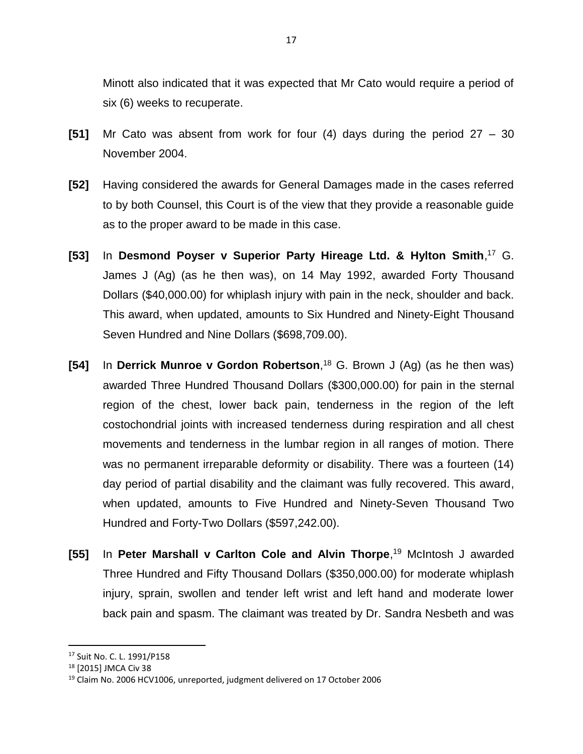Minott also indicated that it was expected that Mr Cato would require a period of six (6) weeks to recuperate.

- **[51]** Mr Cato was absent from work for four (4) days during the period 27 30 November 2004.
- **[52]** Having considered the awards for General Damages made in the cases referred to by both Counsel, this Court is of the view that they provide a reasonable guide as to the proper award to be made in this case.
- **[53]** In **Desmond Poyser v Superior Party Hireage Ltd. & Hylton Smith**, <sup>17</sup> G. James J (Ag) (as he then was), on 14 May 1992, awarded Forty Thousand Dollars (\$40,000.00) for whiplash injury with pain in the neck, shoulder and back. This award, when updated, amounts to Six Hundred and Ninety-Eight Thousand Seven Hundred and Nine Dollars (\$698,709.00).
- **[54]** In **Derrick Munroe v Gordon Robertson**, <sup>18</sup> G. Brown J (Ag) (as he then was) awarded Three Hundred Thousand Dollars (\$300,000.00) for pain in the sternal region of the chest, lower back pain, tenderness in the region of the left costochondrial joints with increased tenderness during respiration and all chest movements and tenderness in the lumbar region in all ranges of motion. There was no permanent irreparable deformity or disability. There was a fourteen (14) day period of partial disability and the claimant was fully recovered. This award, when updated, amounts to Five Hundred and Ninety-Seven Thousand Two Hundred and Forty-Two Dollars (\$597,242.00).
- **[55]** In **Peter Marshall v Carlton Cole and Alvin Thorpe**, <sup>19</sup> McIntosh J awarded Three Hundred and Fifty Thousand Dollars (\$350,000.00) for moderate whiplash injury, sprain, swollen and tender left wrist and left hand and moderate lower back pain and spasm. The claimant was treated by Dr. Sandra Nesbeth and was

<sup>17</sup> Suit No. C. L. 1991/P158

<sup>18</sup> [2015] JMCA Civ 38

<sup>19</sup> Claim No. 2006 HCV1006, unreported, judgment delivered on 17 October 2006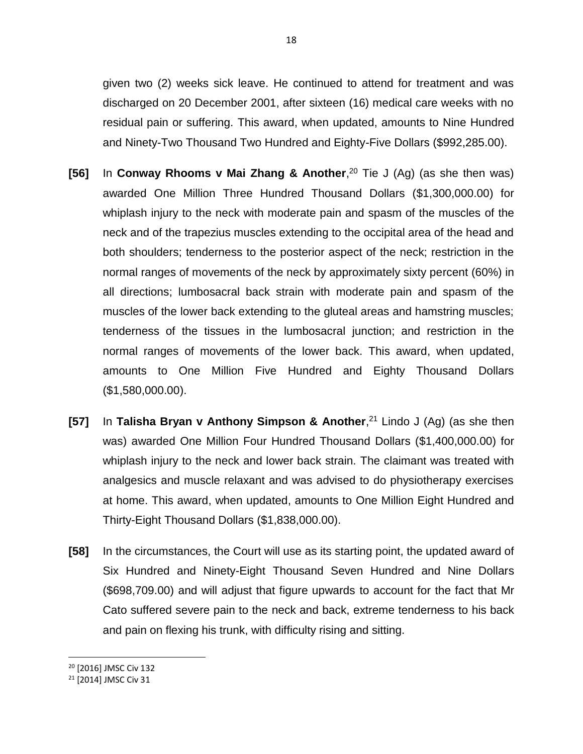given two (2) weeks sick leave. He continued to attend for treatment and was discharged on 20 December 2001, after sixteen (16) medical care weeks with no residual pain or suffering. This award, when updated, amounts to Nine Hundred and Ninety-Two Thousand Two Hundred and Eighty-Five Dollars (\$992,285.00).

- **[56]** In **Conway Rhooms v Mai Zhang & Another**, <sup>20</sup> Tie J (Ag) (as she then was) awarded One Million Three Hundred Thousand Dollars (\$1,300,000.00) for whiplash injury to the neck with moderate pain and spasm of the muscles of the neck and of the trapezius muscles extending to the occipital area of the head and both shoulders; tenderness to the posterior aspect of the neck; restriction in the normal ranges of movements of the neck by approximately sixty percent (60%) in all directions; lumbosacral back strain with moderate pain and spasm of the muscles of the lower back extending to the gluteal areas and hamstring muscles; tenderness of the tissues in the lumbosacral junction; and restriction in the normal ranges of movements of the lower back. This award, when updated, amounts to One Million Five Hundred and Eighty Thousand Dollars (\$1,580,000.00).
- **[57]** In **Talisha Bryan v Anthony Simpson & Another**, <sup>21</sup> Lindo J (Ag) (as she then was) awarded One Million Four Hundred Thousand Dollars (\$1,400,000.00) for whiplash injury to the neck and lower back strain. The claimant was treated with analgesics and muscle relaxant and was advised to do physiotherapy exercises at home. This award, when updated, amounts to One Million Eight Hundred and Thirty-Eight Thousand Dollars (\$1,838,000.00).
- **[58]** In the circumstances, the Court will use as its starting point, the updated award of Six Hundred and Ninety-Eight Thousand Seven Hundred and Nine Dollars (\$698,709.00) and will adjust that figure upwards to account for the fact that Mr Cato suffered severe pain to the neck and back, extreme tenderness to his back and pain on flexing his trunk, with difficulty rising and sitting.

<sup>20</sup> [2016] JMSC Civ 132

<sup>21</sup> [2014] JMSC Civ 31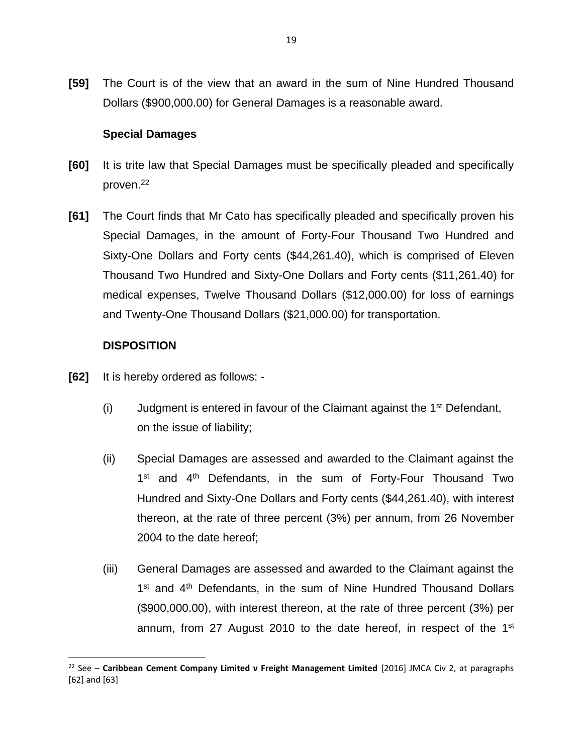**[59]** The Court is of the view that an award in the sum of Nine Hundred Thousand Dollars (\$900,000.00) for General Damages is a reasonable award.

## **Special Damages**

- **[60]** It is trite law that Special Damages must be specifically pleaded and specifically proven.<sup>22</sup>
- **[61]** The Court finds that Mr Cato has specifically pleaded and specifically proven his Special Damages, in the amount of Forty-Four Thousand Two Hundred and Sixty-One Dollars and Forty cents (\$44,261.40), which is comprised of Eleven Thousand Two Hundred and Sixty-One Dollars and Forty cents (\$11,261.40) for medical expenses, Twelve Thousand Dollars (\$12,000.00) for loss of earnings and Twenty-One Thousand Dollars (\$21,000.00) for transportation.

## **DISPOSITION**

- **[62]** It is hereby ordered as follows:
	- (i) Judgment is entered in favour of the Claimant against the  $1<sup>st</sup>$  Defendant, on the issue of liability;
	- (ii) Special Damages are assessed and awarded to the Claimant against the 1<sup>st</sup> and 4<sup>th</sup> Defendants, in the sum of Forty-Four Thousand Two Hundred and Sixty-One Dollars and Forty cents (\$44,261.40), with interest thereon, at the rate of three percent (3%) per annum, from 26 November 2004 to the date hereof;
	- (iii) General Damages are assessed and awarded to the Claimant against the 1<sup>st</sup> and 4<sup>th</sup> Defendants, in the sum of Nine Hundred Thousand Dollars (\$900,000.00), with interest thereon, at the rate of three percent (3%) per annum, from 27 August 2010 to the date hereof, in respect of the 1<sup>st</sup>

<sup>22</sup> See – **Caribbean Cement Company Limited v Freight Management Limited** [2016] JMCA Civ 2, at paragraphs [62] and [63]